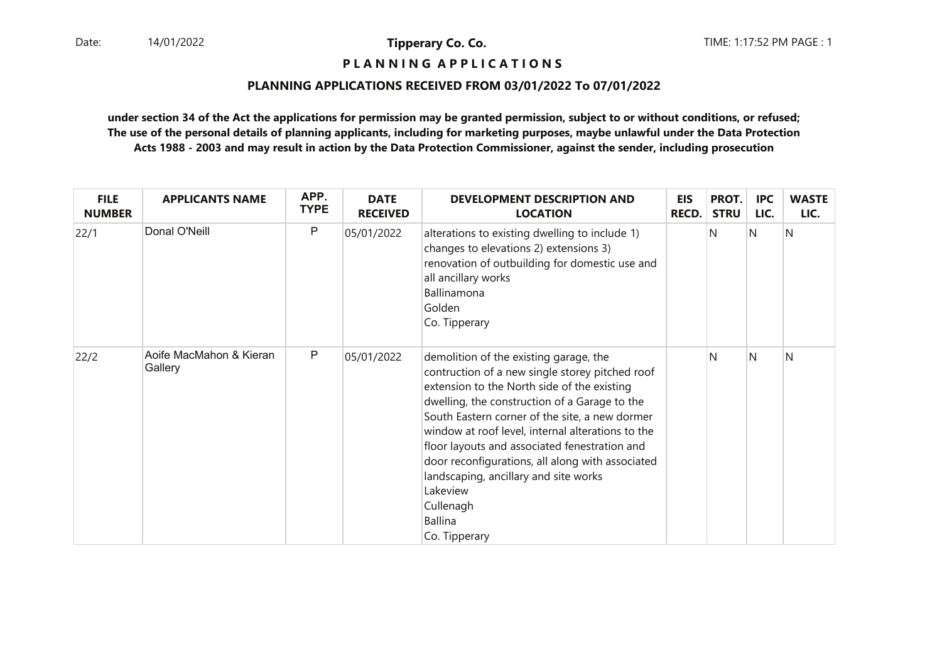## **P L A N N I N G A P P L I C A T I O N S**

## **PLANNING APPLICATIONS RECEIVED FROM 03/01/2022 To 07/01/2022**

| <b>FILE</b><br><b>NUMBER</b> | <b>APPLICANTS NAME</b>             | APP.<br><b>TYPE</b> | <b>DATE</b><br><b>RECEIVED</b> | <b>DEVELOPMENT DESCRIPTION AND</b><br><b>LOCATION</b>                                                                                                                                                                                                                                                                                                                                                                                                                                                      | <b>EIS</b><br><b>RECD.</b> | PROT.<br><b>STRU</b> | <b>IPC</b><br>LIC. | <b>WASTE</b><br>LIC. |
|------------------------------|------------------------------------|---------------------|--------------------------------|------------------------------------------------------------------------------------------------------------------------------------------------------------------------------------------------------------------------------------------------------------------------------------------------------------------------------------------------------------------------------------------------------------------------------------------------------------------------------------------------------------|----------------------------|----------------------|--------------------|----------------------|
| 22/1                         | Donal O'Neill                      | P                   | 05/01/2022                     | alterations to existing dwelling to include 1)<br>changes to elevations 2) extensions 3)<br>renovation of outbuilding for domestic use and<br>all ancillary works<br>Ballinamona<br>Golden<br>Co. Tipperary                                                                                                                                                                                                                                                                                                |                            | N                    | N                  | N                    |
| 22/2                         | Aoife MacMahon & Kieran<br>Gallery | P                   | 05/01/2022                     | demolition of the existing garage, the<br>contruction of a new single storey pitched roof<br>extension to the North side of the existing<br>dwelling, the construction of a Garage to the<br>South Eastern corner of the site, a new dormer<br>window at roof level, internal alterations to the<br>floor layouts and associated fenestration and<br>door reconfigurations, all along with associated<br>landscaping, ancillary and site works<br>Lakeview<br>Cullenagh<br><b>Ballina</b><br>Co. Tipperary |                            | N                    | N                  | N                    |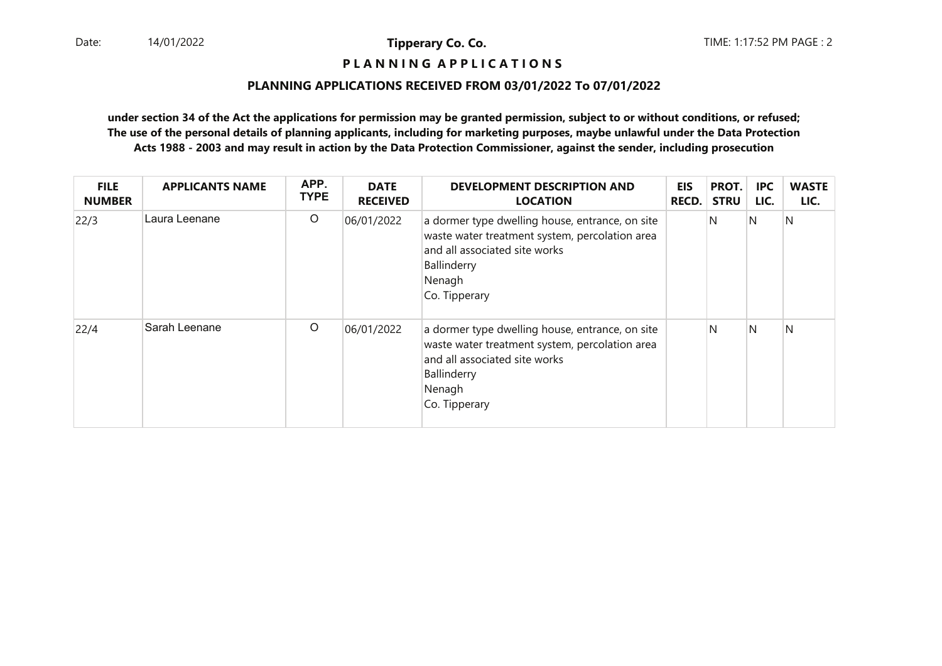## **P L A N N I N G A P P L I C A T I O N S**

## **PLANNING APPLICATIONS RECEIVED FROM 03/01/2022 To 07/01/2022**

| <b>FILE</b><br><b>NUMBER</b> | <b>APPLICANTS NAME</b> | APP.<br><b>TYPE</b> | <b>DATE</b><br><b>RECEIVED</b> | <b>DEVELOPMENT DESCRIPTION AND</b><br><b>LOCATION</b>                                                                                                                        | <b>EIS</b><br><b>RECD.</b> | PROT.<br><b>STRU</b> | <b>IPC</b><br>LIC. | <b>WASTE</b><br>LIC. |
|------------------------------|------------------------|---------------------|--------------------------------|------------------------------------------------------------------------------------------------------------------------------------------------------------------------------|----------------------------|----------------------|--------------------|----------------------|
| 22/3                         | Laura Leenane          | $\circ$             | 06/01/2022                     | a dormer type dwelling house, entrance, on site<br>waste water treatment system, percolation area<br>and all associated site works<br>Ballinderry<br>Nenagh<br>Co. Tipperary |                            | N                    | <sup>N</sup>       | N                    |
| 22/4                         | Sarah Leenane          | $\circ$             | 06/01/2022                     | a dormer type dwelling house, entrance, on site<br>waste water treatment system, percolation area<br>and all associated site works<br>Ballinderry<br>Nenagh<br>Co. Tipperary |                            | N                    | <sup>N</sup>       | N                    |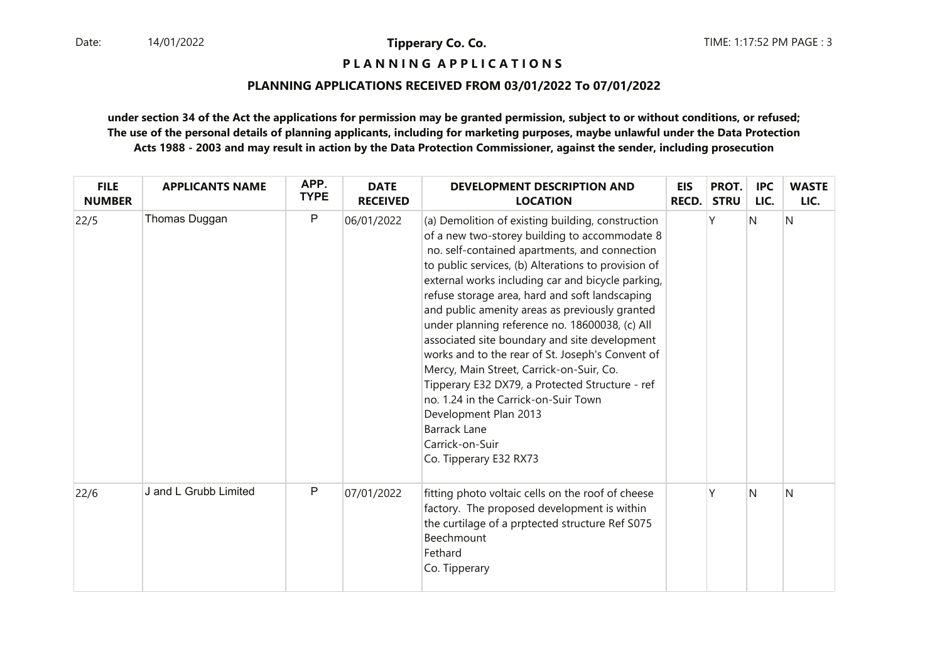**P L A N N I N G A P P L I C A T I O N S** 

## **PLANNING APPLICATIONS RECEIVED FROM 03/01/2022 To 07/01/2022**

| <b>FILE</b><br><b>NUMBER</b> | <b>APPLICANTS NAME</b> | APP.<br><b>TYPE</b> | <b>DATE</b><br><b>RECEIVED</b> | <b>DEVELOPMENT DESCRIPTION AND</b><br><b>LOCATION</b>                                                                                                                                                                                                                                                                                                                                                                                                                                                                                                                                                                                                                                                                                                          | <b>EIS</b><br><b>RECD.</b> | PROT.<br><b>STRU</b> | <b>IPC</b><br>LIC. | <b>WASTE</b><br>LIC. |
|------------------------------|------------------------|---------------------|--------------------------------|----------------------------------------------------------------------------------------------------------------------------------------------------------------------------------------------------------------------------------------------------------------------------------------------------------------------------------------------------------------------------------------------------------------------------------------------------------------------------------------------------------------------------------------------------------------------------------------------------------------------------------------------------------------------------------------------------------------------------------------------------------------|----------------------------|----------------------|--------------------|----------------------|
| 22/5                         | Thomas Duggan          | P                   | 06/01/2022                     | (a) Demolition of existing building, construction<br>of a new two-storey building to accommodate 8<br>no. self-contained apartments, and connection<br>to public services, (b) Alterations to provision of<br>external works including car and bicycle parking,<br>refuse storage area, hard and soft landscaping<br>and public amenity areas as previously granted<br>under planning reference no. 18600038, (c) All<br>associated site boundary and site development<br>works and to the rear of St. Joseph's Convent of<br>Mercy, Main Street, Carrick-on-Suir, Co.<br>Tipperary E32 DX79, a Protected Structure - ref<br>no. 1.24 in the Carrick-on-Suir Town<br>Development Plan 2013<br><b>Barrack Lane</b><br>Carrick-on-Suir<br>Co. Tipperary E32 RX73 |                            | Υ                    | $\mathsf{N}$       | N                    |
| 22/6                         | J and L Grubb Limited  | P                   | 07/01/2022                     | fitting photo voltaic cells on the roof of cheese<br>factory. The proposed development is within<br>the curtilage of a prptected structure Ref S075<br>Beechmount<br>Fethard<br>Co. Tipperary                                                                                                                                                                                                                                                                                                                                                                                                                                                                                                                                                                  |                            | γ                    | N                  | N                    |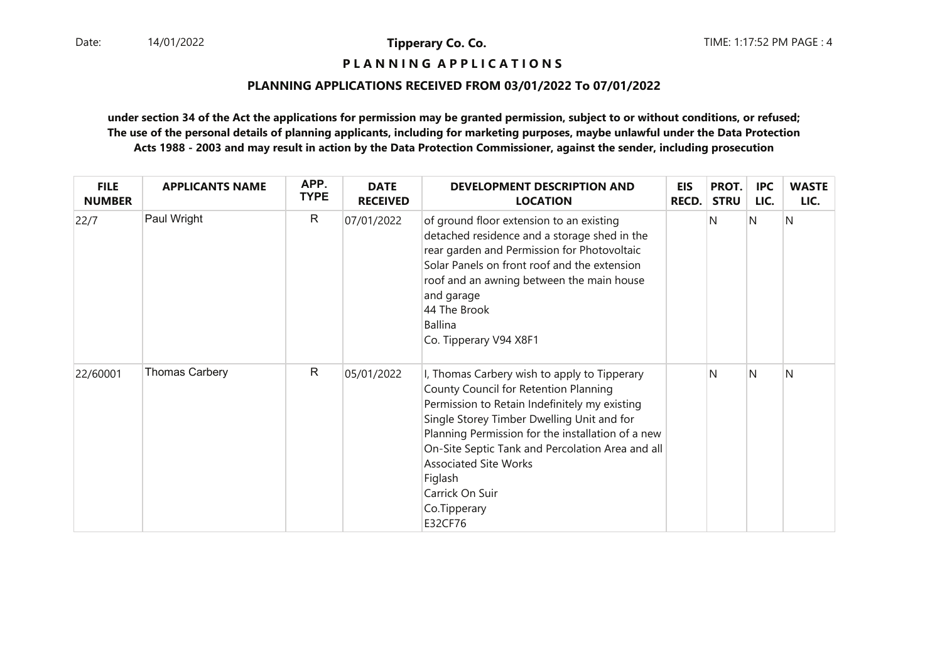**P L A N N I N G A P P L I C A T I O N S** 

## **PLANNING APPLICATIONS RECEIVED FROM 03/01/2022 To 07/01/2022**

| <b>FILE</b><br><b>NUMBER</b> | <b>APPLICANTS NAME</b> | APP.<br><b>TYPE</b> | <b>DATE</b><br><b>RECEIVED</b> | <b>DEVELOPMENT DESCRIPTION AND</b><br><b>LOCATION</b>                                                                                                                                                                                                                                                                                                                                  | <b>EIS</b><br><b>RECD.</b> | PROT.<br><b>STRU</b> | <b>IPC</b><br>LIC. | <b>WASTE</b><br>LIC. |
|------------------------------|------------------------|---------------------|--------------------------------|----------------------------------------------------------------------------------------------------------------------------------------------------------------------------------------------------------------------------------------------------------------------------------------------------------------------------------------------------------------------------------------|----------------------------|----------------------|--------------------|----------------------|
| 22/7                         | Paul Wright            | $\mathsf{R}$        | 07/01/2022                     | of ground floor extension to an existing<br>detached residence and a storage shed in the<br>rear garden and Permission for Photovoltaic<br>Solar Panels on front roof and the extension<br>roof and an awning between the main house<br>and garage<br>44 The Brook<br><b>Ballina</b><br>Co. Tipperary V94 X8F1                                                                         |                            | N                    | N                  | N                    |
| 22/60001                     | <b>Thomas Carbery</b>  | $\mathsf{R}$        | 05/01/2022                     | I, Thomas Carbery wish to apply to Tipperary<br>County Council for Retention Planning<br>Permission to Retain Indefinitely my existing<br>Single Storey Timber Dwelling Unit and for<br>Planning Permission for the installation of a new<br>On-Site Septic Tank and Percolation Area and all<br><b>Associated Site Works</b><br>Figlash<br>Carrick On Suir<br>Co.Tipperary<br>E32CF76 |                            | N                    | N                  | N                    |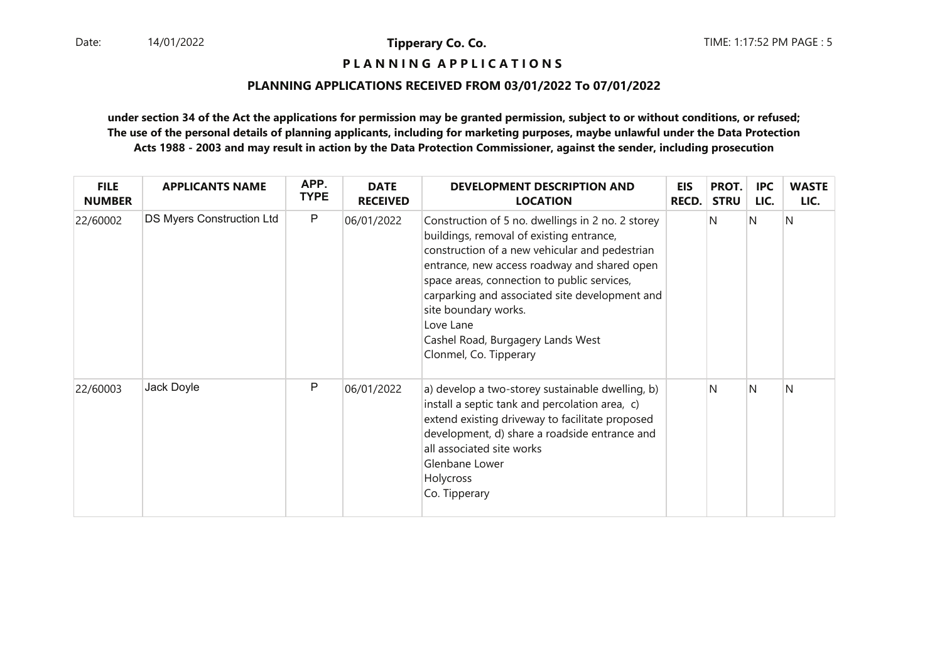**P L A N N I N G A P P L I C A T I O N S** 

## **PLANNING APPLICATIONS RECEIVED FROM 03/01/2022 To 07/01/2022**

| <b>FILE</b><br><b>NUMBER</b> | <b>APPLICANTS NAME</b>    | APP.<br><b>TYPE</b> | <b>DATE</b><br><b>RECEIVED</b> | <b>DEVELOPMENT DESCRIPTION AND</b><br><b>LOCATION</b>                                                                                                                                                                                                                                                                                                                                                | <b>EIS</b><br><b>RECD.</b> | PROT.<br><b>STRU</b> | IPC<br>LIC. | <b>WASTE</b><br>LIC. |
|------------------------------|---------------------------|---------------------|--------------------------------|------------------------------------------------------------------------------------------------------------------------------------------------------------------------------------------------------------------------------------------------------------------------------------------------------------------------------------------------------------------------------------------------------|----------------------------|----------------------|-------------|----------------------|
| 22/60002                     | DS Myers Construction Ltd | $\mathsf{P}$        | 06/01/2022                     | Construction of 5 no. dwellings in 2 no. 2 storey<br>buildings, removal of existing entrance,<br>construction of a new vehicular and pedestrian<br>entrance, new access roadway and shared open<br>space areas, connection to public services,<br>carparking and associated site development and<br>site boundary works.<br>Love Lane<br>Cashel Road, Burgagery Lands West<br>Clonmel, Co. Tipperary |                            | N                    | IN.         | N                    |
| 22/60003                     | Jack Doyle                | P                   | 06/01/2022                     | a) develop a two-storey sustainable dwelling, b)<br>install a septic tank and percolation area, c)<br>extend existing driveway to facilitate proposed<br>development, d) share a roadside entrance and<br>all associated site works<br>Glenbane Lower<br>Holycross<br>Co. Tipperary                                                                                                                  |                            | N                    | N           | Ν                    |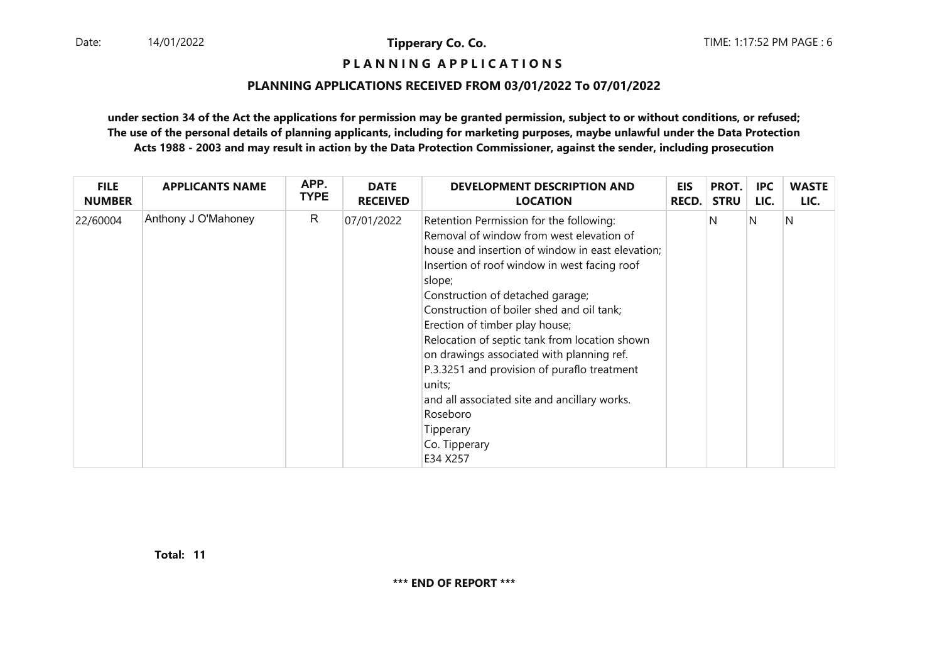**P L A N N I N G A P P L I C A T I O N S** 

## **PLANNING APPLICATIONS RECEIVED FROM 03/01/2022 To 07/01/2022**

**under section 34 of the Act the applications for permission may be granted permission, subject to or without conditions, or refused; The use of the personal details of planning applicants, including for marketing purposes, maybe unlawful under the Data ProtectionActs 1988 - 2003 and may result in action by the Data Protection Commissioner, against the sender, including prosecution**

| <b>FILE</b>   | <b>APPLICANTS NAME</b> | APP.        | <b>DATE</b>     | DEVELOPMENT DESCRIPTION AND                                                                                                                                                                                                                                                                                                                                                                                                                                                                                                                                                       | <b>EIS</b>   | PROT.       | <b>IPC</b> | <b>WASTE</b> |
|---------------|------------------------|-------------|-----------------|-----------------------------------------------------------------------------------------------------------------------------------------------------------------------------------------------------------------------------------------------------------------------------------------------------------------------------------------------------------------------------------------------------------------------------------------------------------------------------------------------------------------------------------------------------------------------------------|--------------|-------------|------------|--------------|
| <b>NUMBER</b> |                        | <b>TYPE</b> | <b>RECEIVED</b> | <b>LOCATION</b>                                                                                                                                                                                                                                                                                                                                                                                                                                                                                                                                                                   | <b>RECD.</b> | <b>STRU</b> | LIC.       | LIC.         |
| 22/60004      | Anthony J O'Mahoney    | R           | 07/01/2022      | Retention Permission for the following:<br>Removal of window from west elevation of<br>house and insertion of window in east elevation;<br>Insertion of roof window in west facing roof<br>slope;<br>Construction of detached garage;<br>Construction of boiler shed and oil tank;<br>Erection of timber play house;<br>Relocation of septic tank from location shown<br>on drawings associated with planning ref.<br>P.3.3251 and provision of puraflo treatment<br>units;<br>and all associated site and ancillary works.<br>Roseboro<br>Tipperary<br>Co. Tipperary<br>E34 X257 |              | N           | N          | N            |

**11Total:**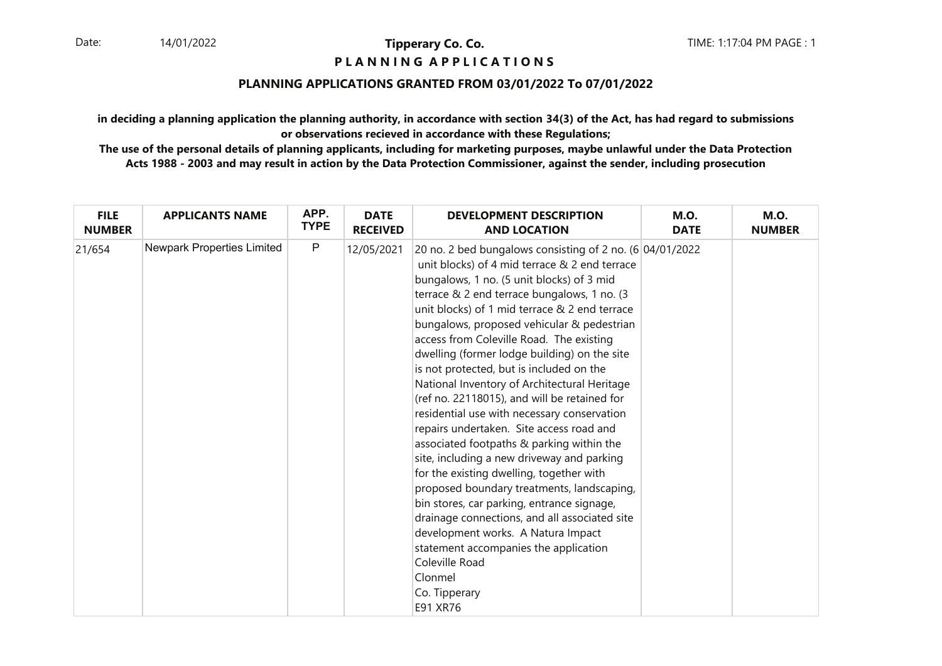# **P L A N N I N G A P P L I C A T I O N S**

## **PLANNING APPLICATIONS GRANTED FROM 03/01/2022 To 07/01/2022**

**in deciding a planning application the planning authority, in accordance with section 34(3) of the Act, has had regard to submissionsor observations recieved in accordance with these Regulations;**

| <b>FILE</b>   | <b>APPLICANTS NAME</b>     | APP.        | <b>DATE</b>     | <b>DEVELOPMENT DESCRIPTION</b>                                                                                                                                                                                                                                                                                                                                                                                                                                                                                                                                                                                                                                                                                                                                                                                                                                                                                                                                                                                                                                          | <b>M.O.</b> | <b>M.O.</b>   |
|---------------|----------------------------|-------------|-----------------|-------------------------------------------------------------------------------------------------------------------------------------------------------------------------------------------------------------------------------------------------------------------------------------------------------------------------------------------------------------------------------------------------------------------------------------------------------------------------------------------------------------------------------------------------------------------------------------------------------------------------------------------------------------------------------------------------------------------------------------------------------------------------------------------------------------------------------------------------------------------------------------------------------------------------------------------------------------------------------------------------------------------------------------------------------------------------|-------------|---------------|
| <b>NUMBER</b> |                            | <b>TYPE</b> | <b>RECEIVED</b> | <b>AND LOCATION</b>                                                                                                                                                                                                                                                                                                                                                                                                                                                                                                                                                                                                                                                                                                                                                                                                                                                                                                                                                                                                                                                     | <b>DATE</b> | <b>NUMBER</b> |
| 21/654        | Newpark Properties Limited | $\mathsf P$ | 12/05/2021      | 20 no. 2 bed bungalows consisting of 2 no. $(6 04/01/2022)$<br>unit blocks) of 4 mid terrace & 2 end terrace<br>bungalows, 1 no. (5 unit blocks) of 3 mid<br>terrace & 2 end terrace bungalows, 1 no. (3<br>unit blocks) of 1 mid terrace & 2 end terrace<br>bungalows, proposed vehicular & pedestrian<br>access from Coleville Road. The existing<br>dwelling (former lodge building) on the site<br>is not protected, but is included on the<br>National Inventory of Architectural Heritage<br>(ref no. 22118015), and will be retained for<br>residential use with necessary conservation<br>repairs undertaken. Site access road and<br>associated footpaths & parking within the<br>site, including a new driveway and parking<br>for the existing dwelling, together with<br>proposed boundary treatments, landscaping,<br>bin stores, car parking, entrance signage,<br>drainage connections, and all associated site<br>development works. A Natura Impact<br>statement accompanies the application<br>Coleville Road<br>Clonmel<br>Co. Tipperary<br>E91 XR76 |             |               |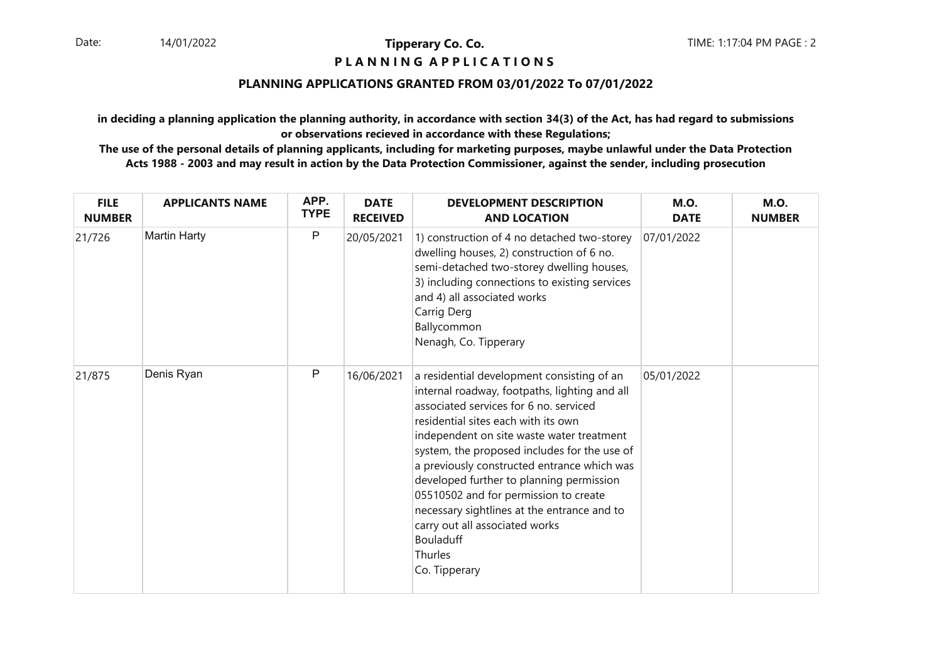# **P L A N N I N G A P P L I C A T I O N S**

## **PLANNING APPLICATIONS GRANTED FROM 03/01/2022 To 07/01/2022**

**in deciding a planning application the planning authority, in accordance with section 34(3) of the Act, has had regard to submissionsor observations recieved in accordance with these Regulations;**

| <b>FILE</b><br><b>NUMBER</b> | <b>APPLICANTS NAME</b> | APP.<br><b>TYPE</b> | <b>DATE</b><br><b>RECEIVED</b> | <b>DEVELOPMENT DESCRIPTION</b><br><b>AND LOCATION</b>                                                                                                                                                                                                                                                                                                                                                                                                                                                                                          | <b>M.O.</b><br><b>DATE</b> | <b>M.O.</b><br><b>NUMBER</b> |
|------------------------------|------------------------|---------------------|--------------------------------|------------------------------------------------------------------------------------------------------------------------------------------------------------------------------------------------------------------------------------------------------------------------------------------------------------------------------------------------------------------------------------------------------------------------------------------------------------------------------------------------------------------------------------------------|----------------------------|------------------------------|
| 21/726                       | <b>Martin Harty</b>    | P                   | 20/05/2021                     | 1) construction of 4 no detached two-storey<br>dwelling houses, 2) construction of 6 no.<br>semi-detached two-storey dwelling houses,<br>3) including connections to existing services<br>and 4) all associated works<br>Carrig Derg<br>Ballycommon<br>Nenagh, Co. Tipperary                                                                                                                                                                                                                                                                   | 07/01/2022                 |                              |
| 21/875                       | Denis Ryan             | P                   | 16/06/2021                     | a residential development consisting of an<br>internal roadway, footpaths, lighting and all<br>associated services for 6 no. serviced<br>residential sites each with its own<br>independent on site waste water treatment<br>system, the proposed includes for the use of<br>a previously constructed entrance which was<br>developed further to planning permission<br>05510502 and for permission to create<br>necessary sightlines at the entrance and to<br>carry out all associated works<br><b>Bouladuff</b><br>Thurles<br>Co. Tipperary | 05/01/2022                 |                              |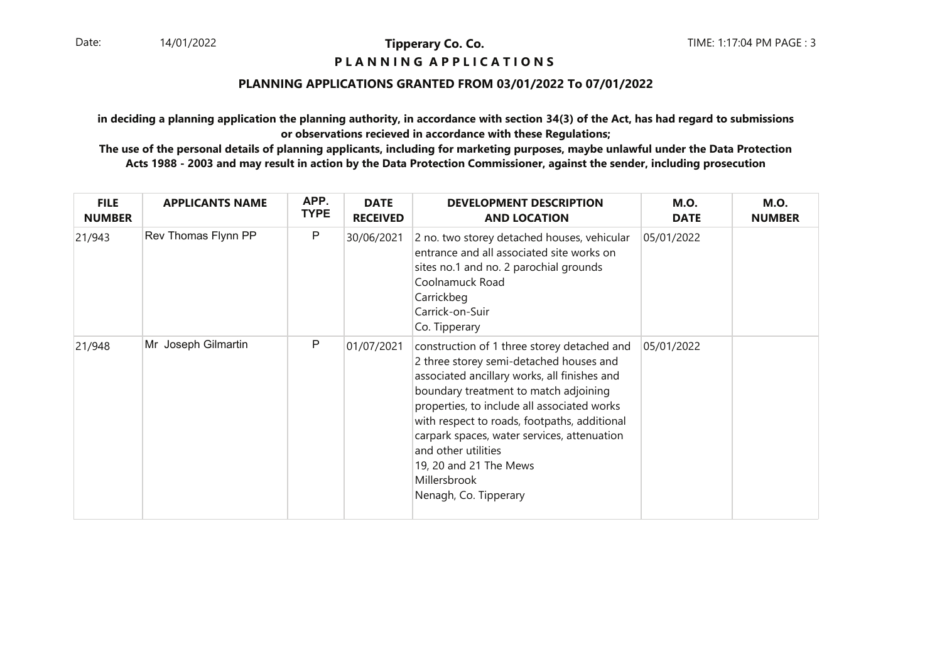## **P L A N N I N G A P P L I C A T I O N S**

## **PLANNING APPLICATIONS GRANTED FROM 03/01/2022 To 07/01/2022**

**in deciding a planning application the planning authority, in accordance with section 34(3) of the Act, has had regard to submissionsor observations recieved in accordance with these Regulations;**

| <b>FILE</b><br><b>NUMBER</b> | <b>APPLICANTS NAME</b> | APP.<br><b>TYPE</b> | <b>DATE</b><br><b>RECEIVED</b> | <b>DEVELOPMENT DESCRIPTION</b><br><b>AND LOCATION</b>                                                                                                                                                                                                                                                                                                                                                                   | <b>M.O.</b><br><b>DATE</b> | <b>M.O.</b><br><b>NUMBER</b> |
|------------------------------|------------------------|---------------------|--------------------------------|-------------------------------------------------------------------------------------------------------------------------------------------------------------------------------------------------------------------------------------------------------------------------------------------------------------------------------------------------------------------------------------------------------------------------|----------------------------|------------------------------|
| 21/943                       | Rev Thomas Flynn PP    | P                   | 30/06/2021                     | 2 no. two storey detached houses, vehicular<br>entrance and all associated site works on<br>sites no.1 and no. 2 parochial grounds<br>Coolnamuck Road<br>Carrickbeg<br>Carrick-on-Suir<br>Co. Tipperary                                                                                                                                                                                                                 | 05/01/2022                 |                              |
| 21/948                       | Mr Joseph Gilmartin    | P                   | 01/07/2021                     | construction of 1 three storey detached and<br>2 three storey semi-detached houses and<br>associated ancillary works, all finishes and<br>boundary treatment to match adjoining<br>properties, to include all associated works<br>with respect to roads, footpaths, additional<br>carpark spaces, water services, attenuation<br>and other utilities<br>19, 20 and 21 The Mews<br>Millersbrook<br>Nenagh, Co. Tipperary | 05/01/2022                 |                              |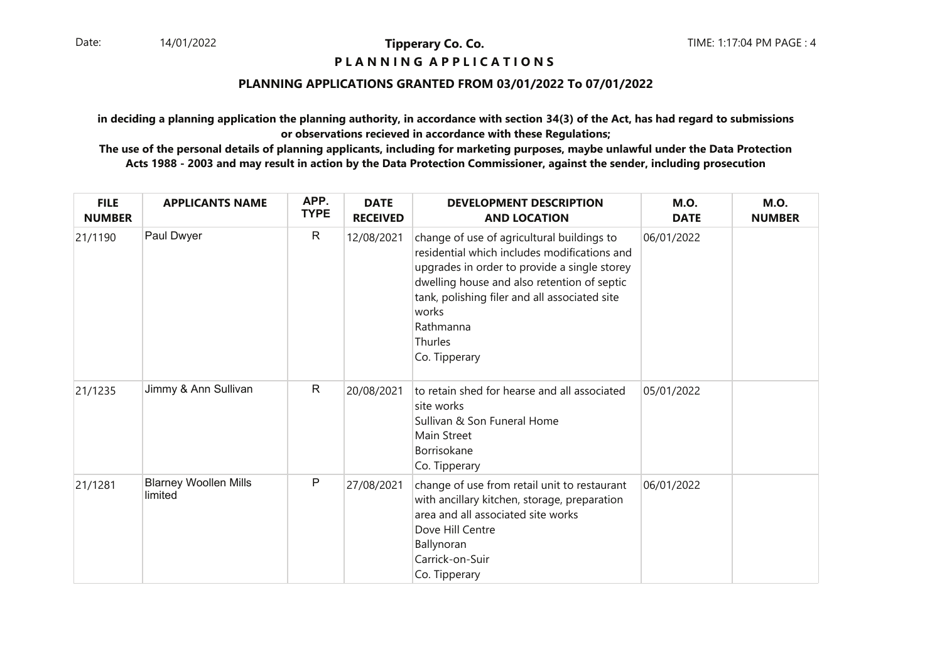## **P L A N N I N G A P P L I C A T I O N S**

## **PLANNING APPLICATIONS GRANTED FROM 03/01/2022 To 07/01/2022**

**in deciding a planning application the planning authority, in accordance with section 34(3) of the Act, has had regard to submissionsor observations recieved in accordance with these Regulations;**

| <b>FILE</b><br><b>NUMBER</b> | <b>APPLICANTS NAME</b>                  | APP.<br><b>TYPE</b> | <b>DATE</b><br><b>RECEIVED</b> | <b>DEVELOPMENT DESCRIPTION</b><br><b>AND LOCATION</b>                                                                                                                                                                                                                                        | <b>M.O.</b><br><b>DATE</b> | <b>M.O.</b><br><b>NUMBER</b> |
|------------------------------|-----------------------------------------|---------------------|--------------------------------|----------------------------------------------------------------------------------------------------------------------------------------------------------------------------------------------------------------------------------------------------------------------------------------------|----------------------------|------------------------------|
| 21/1190                      | Paul Dwyer                              | R                   | 12/08/2021                     | change of use of agricultural buildings to<br>residential which includes modifications and<br>upgrades in order to provide a single storey<br>dwelling house and also retention of septic<br>tank, polishing filer and all associated site<br>works<br>Rathmanna<br>Thurles<br>Co. Tipperary | 06/01/2022                 |                              |
| 21/1235                      | Jimmy & Ann Sullivan                    | R                   | 20/08/2021                     | to retain shed for hearse and all associated<br>site works<br>Sullivan & Son Funeral Home<br><b>Main Street</b><br>Borrisokane<br>Co. Tipperary                                                                                                                                              | 05/01/2022                 |                              |
| 21/1281                      | <b>Blarney Woollen Mills</b><br>limited | P                   | 27/08/2021                     | change of use from retail unit to restaurant<br>with ancillary kitchen, storage, preparation<br>area and all associated site works<br>Dove Hill Centre<br>Ballynoran<br>Carrick-on-Suir<br>Co. Tipperary                                                                                     | 06/01/2022                 |                              |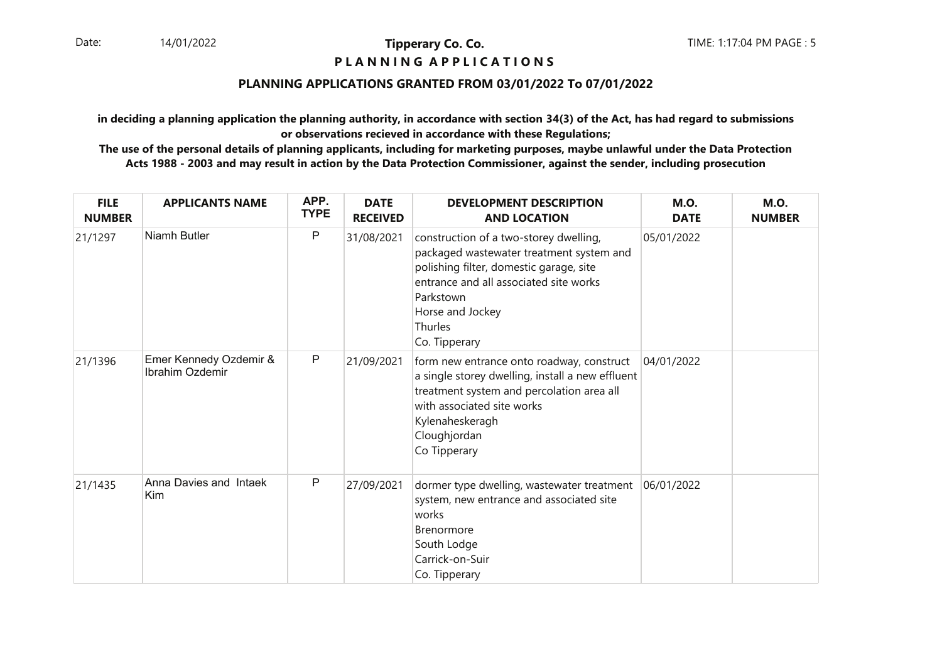## **P L A N N I N G A P P L I C A T I O N S**

## **PLANNING APPLICATIONS GRANTED FROM 03/01/2022 To 07/01/2022**

**in deciding a planning application the planning authority, in accordance with section 34(3) of the Act, has had regard to submissionsor observations recieved in accordance with these Regulations;**

| <b>FILE</b><br><b>NUMBER</b> | <b>APPLICANTS NAME</b>                    | APP.<br><b>TYPE</b> | <b>DATE</b><br><b>RECEIVED</b> | <b>DEVELOPMENT DESCRIPTION</b><br><b>AND LOCATION</b>                                                                                                                                                                                | <b>M.O.</b><br><b>DATE</b> | <b>M.O.</b><br><b>NUMBER</b> |
|------------------------------|-------------------------------------------|---------------------|--------------------------------|--------------------------------------------------------------------------------------------------------------------------------------------------------------------------------------------------------------------------------------|----------------------------|------------------------------|
| 21/1297                      | <b>Niamh Butler</b>                       | P                   | 31/08/2021                     | construction of a two-storey dwelling,<br>packaged wastewater treatment system and<br>polishing filter, domestic garage, site<br>entrance and all associated site works<br>Parkstown<br>Horse and Jockey<br>Thurles<br>Co. Tipperary | 05/01/2022                 |                              |
| 21/1396                      | Emer Kennedy Ozdemir &<br>Ibrahim Ozdemir | P                   | 21/09/2021                     | form new entrance onto roadway, construct<br>a single storey dwelling, install a new effluent<br>treatment system and percolation area all<br>with associated site works<br>Kylenaheskeragh<br>Cloughjordan<br>Co Tipperary          | 04/01/2022                 |                              |
| 21/1435                      | Anna Davies and Intaek<br>Kim             | P                   | 27/09/2021                     | dormer type dwelling, wastewater treatment<br>system, new entrance and associated site<br>works<br><b>Brenormore</b><br>South Lodge<br>Carrick-on-Suir<br>Co. Tipperary                                                              | 06/01/2022                 |                              |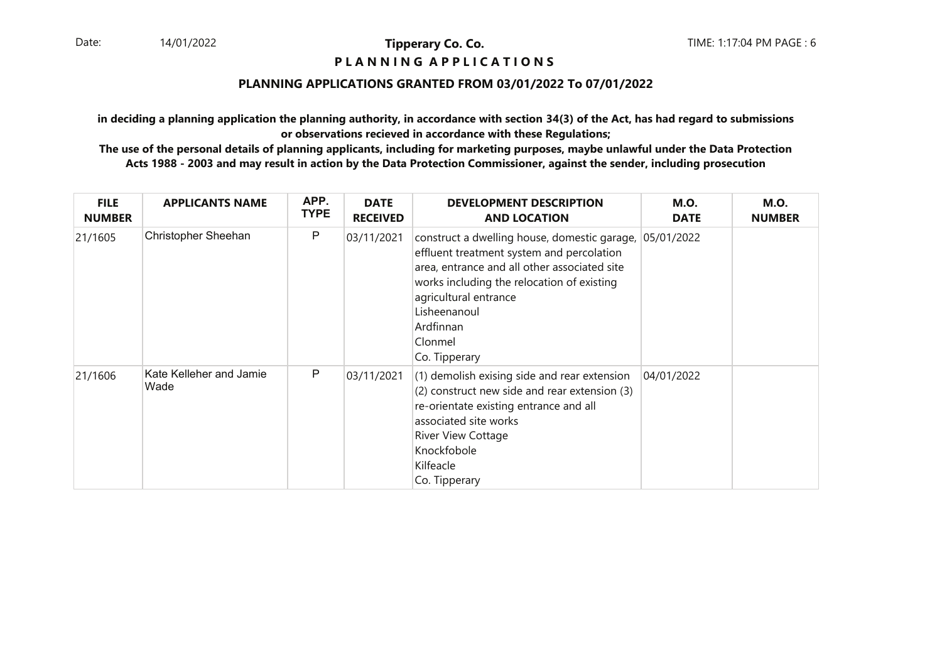## **P L A N N I N G A P P L I C A T I O N S**

## **PLANNING APPLICATIONS GRANTED FROM 03/01/2022 To 07/01/2022**

**in deciding a planning application the planning authority, in accordance with section 34(3) of the Act, has had regard to submissionsor observations recieved in accordance with these Regulations;**

| <b>FILE</b><br><b>NUMBER</b> | <b>APPLICANTS NAME</b>          | APP.<br><b>TYPE</b> | <b>DATE</b><br><b>RECEIVED</b> | <b>DEVELOPMENT DESCRIPTION</b><br><b>AND LOCATION</b>                                                                                                                                                                                                                     | <b>M.O.</b><br><b>DATE</b> | <b>M.O.</b><br><b>NUMBER</b> |
|------------------------------|---------------------------------|---------------------|--------------------------------|---------------------------------------------------------------------------------------------------------------------------------------------------------------------------------------------------------------------------------------------------------------------------|----------------------------|------------------------------|
| 21/1605                      | <b>Christopher Sheehan</b>      | P                   | 03/11/2021                     | construct a dwelling house, domestic garage,<br>effluent treatment system and percolation<br>area, entrance and all other associated site<br>works including the relocation of existing<br>agricultural entrance<br>Lisheenanoul<br>Ardfinnan<br>Clonmel<br>Co. Tipperary | 05/01/2022                 |                              |
| 21/1606                      | Kate Kelleher and Jamie<br>Wade | P                   | 03/11/2021                     | (1) demolish exising side and rear extension<br>(2) construct new side and rear extension (3)<br>re-orientate existing entrance and all<br>associated site works<br><b>River View Cottage</b><br>Knockfobole<br>Kilfeacle<br>Co. Tipperary                                | 04/01/2022                 |                              |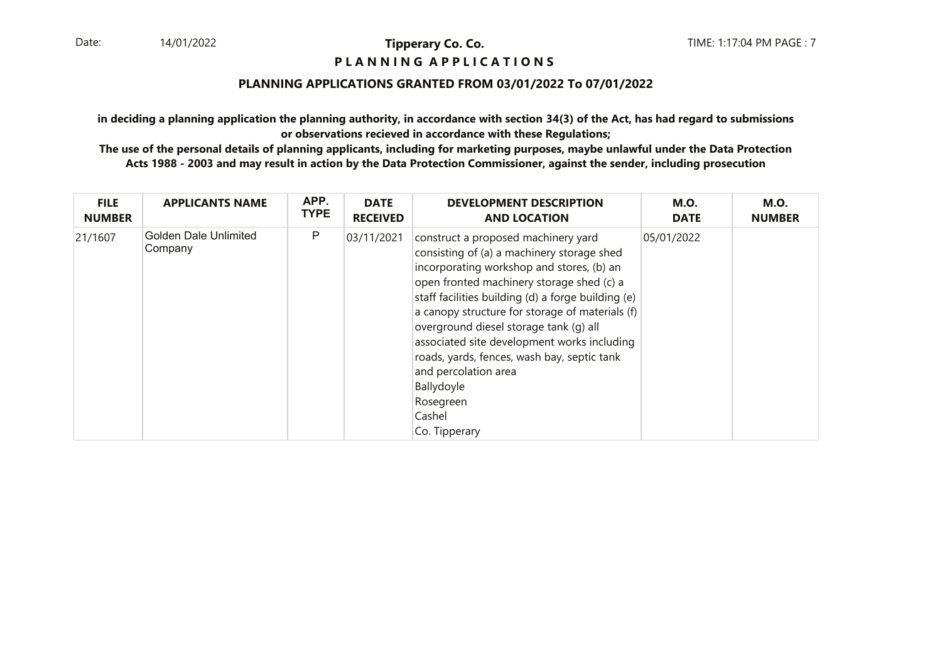## **P L A N N I N G A P P L I C A T I O N S**

## **PLANNING APPLICATIONS GRANTED FROM 03/01/2022 To 07/01/2022**

**in deciding a planning application the planning authority, in accordance with section 34(3) of the Act, has had regard to submissionsor observations recieved in accordance with these Regulations;**

| <b>FILE</b>   | <b>APPLICANTS NAME</b>                  | APP.        | <b>DATE</b>     | <b>DEVELOPMENT DESCRIPTION</b>                                                                                                                                                                                                                                                                                                                                                                                                                                                                             | <b>M.O.</b> | <b>M.O.</b>   |
|---------------|-----------------------------------------|-------------|-----------------|------------------------------------------------------------------------------------------------------------------------------------------------------------------------------------------------------------------------------------------------------------------------------------------------------------------------------------------------------------------------------------------------------------------------------------------------------------------------------------------------------------|-------------|---------------|
| <b>NUMBER</b> |                                         | <b>TYPE</b> | <b>RECEIVED</b> | <b>AND LOCATION</b>                                                                                                                                                                                                                                                                                                                                                                                                                                                                                        | <b>DATE</b> | <b>NUMBER</b> |
| 21/1607       | <b>Golden Dale Unlimited</b><br>Company | P           | 03/11/2021      | construct a proposed machinery yard<br>consisting of (a) a machinery storage shed<br>incorporating workshop and stores, (b) an<br>open fronted machinery storage shed (c) a<br>staff facilities building (d) a forge building (e)<br>a canopy structure for storage of materials (f)<br>overground diesel storage tank (g) all<br>associated site development works including<br>roads, yards, fences, wash bay, septic tank<br>and percolation area<br>Ballydoyle<br>Rosegreen<br>Cashel<br>Co. Tipperary | 05/01/2022  |               |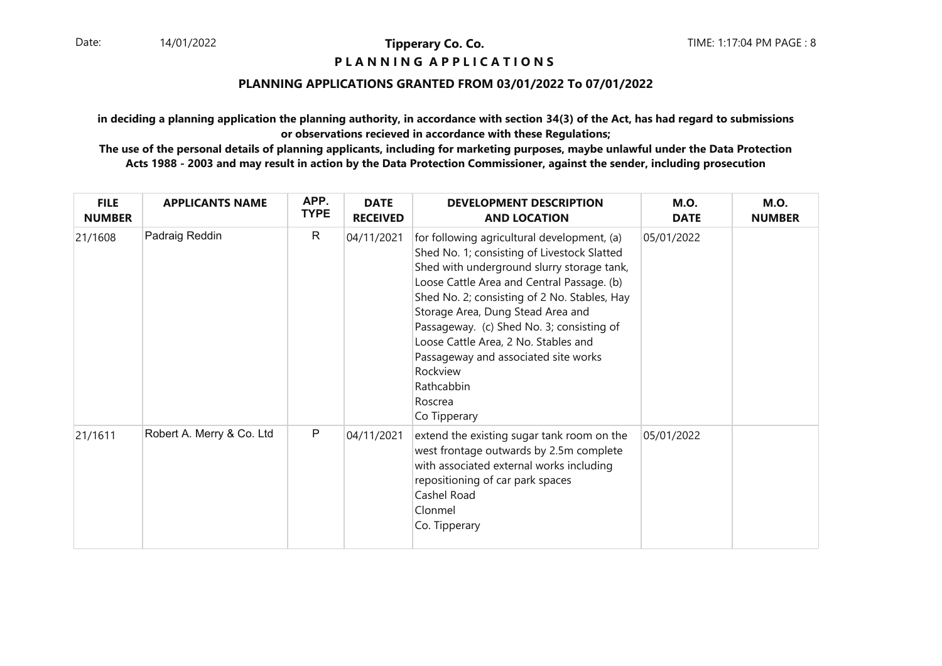## **P L A N N I N G A P P L I C A T I O N S**

## **PLANNING APPLICATIONS GRANTED FROM 03/01/2022 To 07/01/2022**

**in deciding a planning application the planning authority, in accordance with section 34(3) of the Act, has had regard to submissionsor observations recieved in accordance with these Regulations;**

| <b>FILE</b><br><b>NUMBER</b> | <b>APPLICANTS NAME</b>    | APP.<br><b>TYPE</b> | <b>DATE</b><br><b>RECEIVED</b> | <b>DEVELOPMENT DESCRIPTION</b><br><b>AND LOCATION</b>                                                                                                                                                                                                                                                                                                                                                                                                         | <b>M.O.</b><br><b>DATE</b> | <b>M.O.</b><br><b>NUMBER</b> |
|------------------------------|---------------------------|---------------------|--------------------------------|---------------------------------------------------------------------------------------------------------------------------------------------------------------------------------------------------------------------------------------------------------------------------------------------------------------------------------------------------------------------------------------------------------------------------------------------------------------|----------------------------|------------------------------|
| 21/1608                      | Padraig Reddin            | $\mathsf{R}$        | 04/11/2021                     | for following agricultural development, (a)<br>Shed No. 1; consisting of Livestock Slatted<br>Shed with underground slurry storage tank,<br>Loose Cattle Area and Central Passage. (b)<br>Shed No. 2; consisting of 2 No. Stables, Hay<br>Storage Area, Dung Stead Area and<br>Passageway. (c) Shed No. 3; consisting of<br>Loose Cattle Area, 2 No. Stables and<br>Passageway and associated site works<br>Rockview<br>Rathcabbin<br>Roscrea<br>Co Tipperary | 05/01/2022                 |                              |
| 21/1611                      | Robert A. Merry & Co. Ltd | P                   | 04/11/2021                     | extend the existing sugar tank room on the<br>west frontage outwards by 2.5m complete<br>with associated external works including<br>repositioning of car park spaces<br>Cashel Road<br>Clonmel<br>Co. Tipperary                                                                                                                                                                                                                                              | 05/01/2022                 |                              |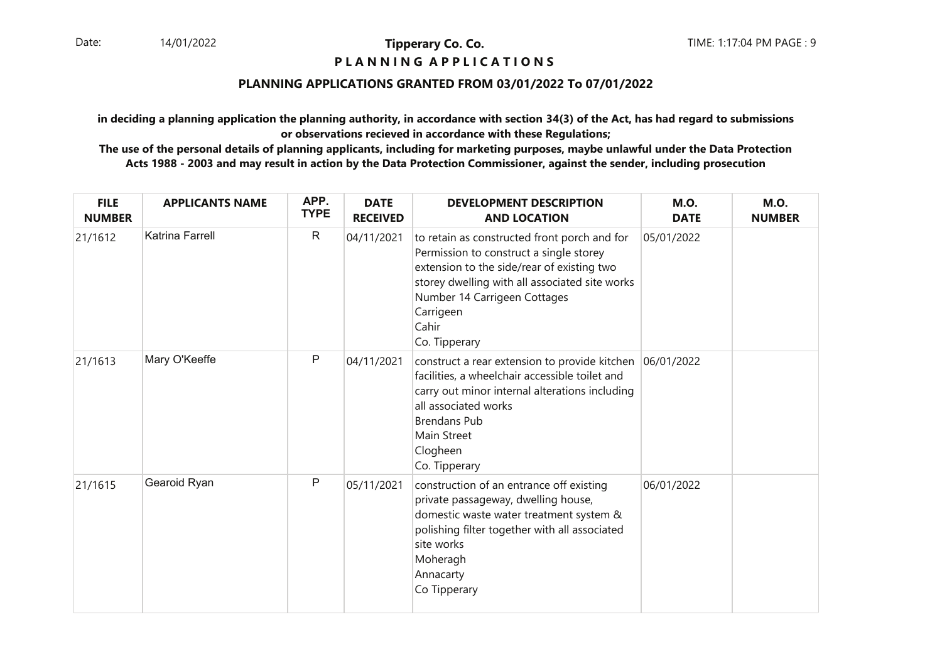## **P L A N N I N G A P P L I C A T I O N S**

## **PLANNING APPLICATIONS GRANTED FROM 03/01/2022 To 07/01/2022**

**in deciding a planning application the planning authority, in accordance with section 34(3) of the Act, has had regard to submissionsor observations recieved in accordance with these Regulations;**

| <b>FILE</b><br><b>NUMBER</b> | <b>APPLICANTS NAME</b> | APP.<br><b>TYPE</b> | <b>DATE</b><br><b>RECEIVED</b> | <b>DEVELOPMENT DESCRIPTION</b><br><b>AND LOCATION</b>                                                                                                                                                                                                          | <b>M.O.</b><br><b>DATE</b> | <b>M.O.</b><br><b>NUMBER</b> |
|------------------------------|------------------------|---------------------|--------------------------------|----------------------------------------------------------------------------------------------------------------------------------------------------------------------------------------------------------------------------------------------------------------|----------------------------|------------------------------|
| 21/1612                      | Katrina Farrell        | $\mathsf{R}$        | 04/11/2021                     | to retain as constructed front porch and for<br>Permission to construct a single storey<br>extension to the side/rear of existing two<br>storey dwelling with all associated site works<br>Number 14 Carrigeen Cottages<br>Carrigeen<br>Cahir<br>Co. Tipperary | 05/01/2022                 |                              |
| 21/1613                      | Mary O'Keeffe          | P                   | 04/11/2021                     | construct a rear extension to provide kitchen<br>facilities, a wheelchair accessible toilet and<br>carry out minor internal alterations including<br>all associated works<br><b>Brendans Pub</b><br>Main Street<br>Clogheen<br>Co. Tipperary                   | 06/01/2022                 |                              |
| 21/1615                      | Gearoid Ryan           | $\mathsf{P}$        | 05/11/2021                     | construction of an entrance off existing<br>private passageway, dwelling house,<br>domestic waste water treatment system &<br>polishing filter together with all associated<br>site works<br>Moheragh<br>Annacarty<br>Co Tipperary                             | 06/01/2022                 |                              |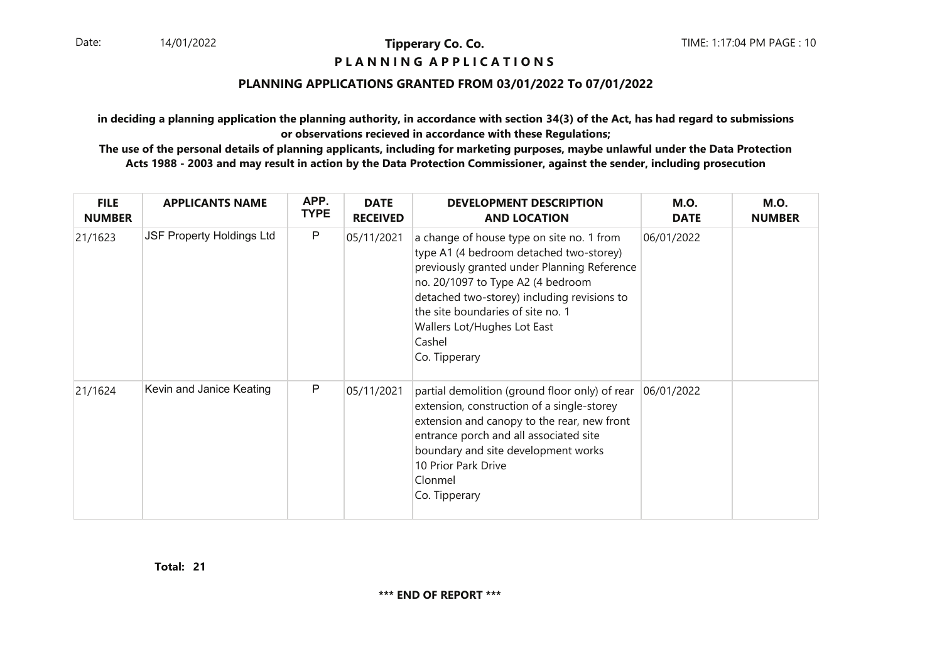## **P L A N N I N G A P P L I C A T I O N S**

## **PLANNING APPLICATIONS GRANTED FROM 03/01/2022 To 07/01/2022**

**in deciding a planning application the planning authority, in accordance with section 34(3) of the Act, has had regard to submissionsor observations recieved in accordance with these Regulations;**

 **The use of the personal details of planning applicants, including for marketing purposes, maybe unlawful under the Data ProtectionActs 1988 - 2003 and may result in action by the Data Protection Commissioner, against the sender, including prosecution**

| <b>FILE</b><br><b>NUMBER</b> | <b>APPLICANTS NAME</b>           | APP.<br><b>TYPE</b> | <b>DATE</b><br><b>RECEIVED</b> | <b>DEVELOPMENT DESCRIPTION</b><br><b>AND LOCATION</b>                                                                                                                                                                                                                                                                  | <b>M.O.</b><br><b>DATE</b> | <b>M.O.</b><br><b>NUMBER</b> |
|------------------------------|----------------------------------|---------------------|--------------------------------|------------------------------------------------------------------------------------------------------------------------------------------------------------------------------------------------------------------------------------------------------------------------------------------------------------------------|----------------------------|------------------------------|
| 21/1623                      | <b>JSF Property Holdings Ltd</b> | $\mathsf{P}$        | 05/11/2021                     | a change of house type on site no. 1 from<br>type A1 (4 bedroom detached two-storey)<br>previously granted under Planning Reference<br>no. 20/1097 to Type A2 (4 bedroom<br>detached two-storey) including revisions to<br>the site boundaries of site no. 1<br>Wallers Lot/Hughes Lot East<br>Cashel<br>Co. Tipperary | 06/01/2022                 |                              |
| 21/1624                      | Kevin and Janice Keating         | P                   | 05/11/2021                     | partial demolition (ground floor only) of rear<br>extension, construction of a single-storey<br>extension and canopy to the rear, new front<br>entrance porch and all associated site<br>boundary and site development works<br>10 Prior Park Drive<br>Clonmel<br>Co. Tipperary                                        | 06/01/2022                 |                              |

**21Total:**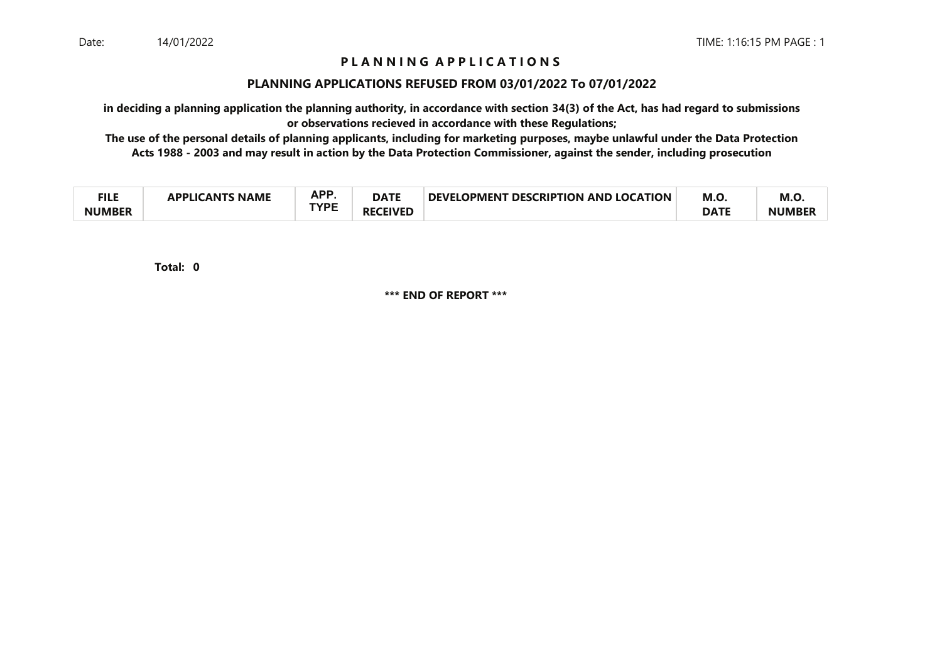## **P L A N N I N G A P P L I C A T I O N S**

## **PLANNING APPLICATIONS REFUSED FROM 03/01/2022 To 07/01/2022**

**in deciding a planning application the planning authority, in accordance with section 34(3) of the Act, has had regard to submissionsor observations recieved in accordance with these Regulations;**

 **The use of the personal details of planning applicants, including for marketing purposes, maybe unlawful under the Data ProtectionActs 1988 - 2003 and may result in action by the Data Protection Commissioner, against the sender, including prosecution**

| ru c<br>╶╻┖┖  | PLICANTS NAME<br><b>ADDI IC</b> | ΔPΡ<br>п. | <b>DATE</b>          | <b>T DESCRIPTION AND LOCATION</b><br><b>DEVELOPMENT</b> | M.O         | M.O.          |
|---------------|---------------------------------|-----------|----------------------|---------------------------------------------------------|-------------|---------------|
| <b>NUMBER</b> |                                 | TVNC      | <b>CEIVED</b><br>RF) |                                                         | <b>DATE</b> | <b>NUMBER</b> |

**0Total:**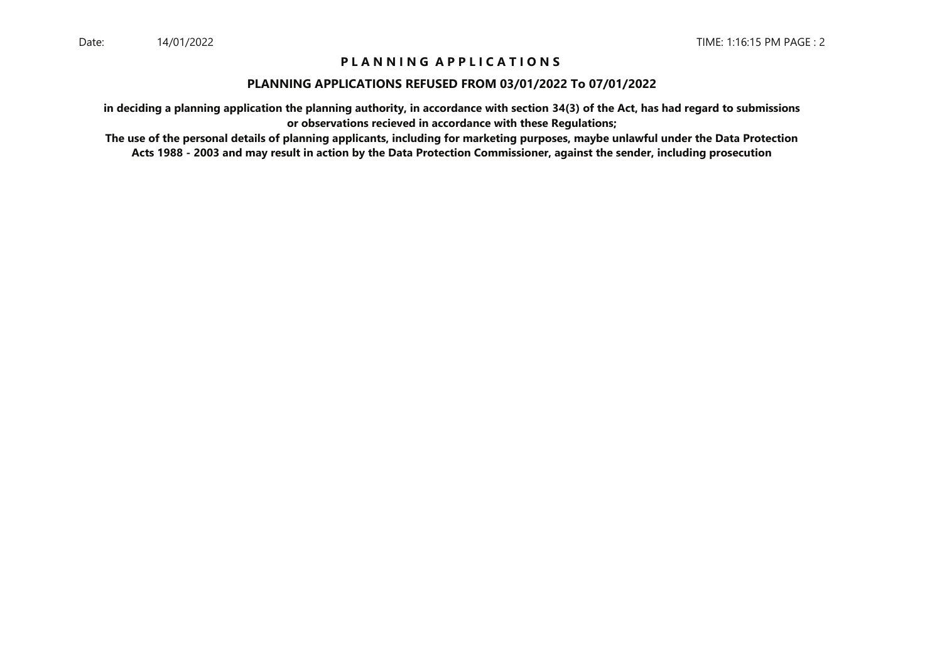## **P L A N N I N G A P P L I C A T I O N S**

#### **PLANNING APPLICATIONS REFUSED FROM 03/01/2022 To 07/01/2022**

**in deciding a planning application the planning authority, in accordance with section 34(3) of the Act, has had regard to submissionsor observations recieved in accordance with these Regulations;**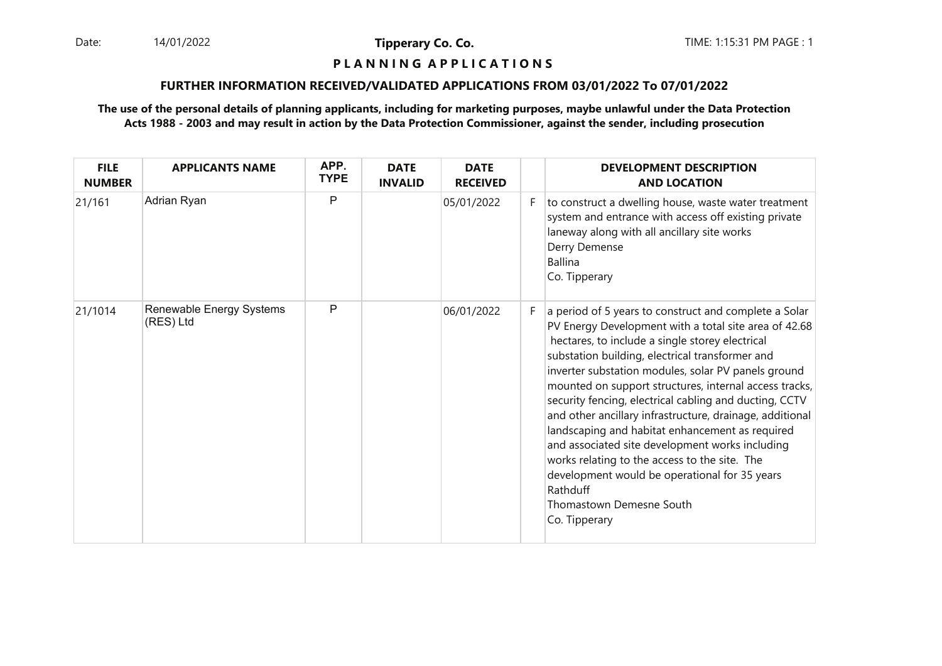Date: 14/01/2022 **Tipperary Co. Co. Co.** The: 1:15:31 PM PAGE : 1 14/01/2022

**Tipperary Co. Co.**

## **P L A N N I N G A P P L I C A T I O N S**

#### **FURTHER INFORMATION RECEIVED/VALIDATED APPLICATIONS FROM 03/01/2022 To 07/01/2022**

| <b>FILE</b><br><b>NUMBER</b> | <b>APPLICANTS NAME</b>                | APP.<br><b>TYPE</b> | <b>DATE</b><br><b>INVALID</b> | <b>DATE</b><br><b>RECEIVED</b> |    | <b>DEVELOPMENT DESCRIPTION</b><br><b>AND LOCATION</b>                                                                                                                                                                                                                                                                                                                                                                                                                                                                                                                                                                                                                                                                        |
|------------------------------|---------------------------------------|---------------------|-------------------------------|--------------------------------|----|------------------------------------------------------------------------------------------------------------------------------------------------------------------------------------------------------------------------------------------------------------------------------------------------------------------------------------------------------------------------------------------------------------------------------------------------------------------------------------------------------------------------------------------------------------------------------------------------------------------------------------------------------------------------------------------------------------------------------|
| 21/161                       | Adrian Ryan                           | P                   |                               | 05/01/2022                     | F. | to construct a dwelling house, waste water treatment<br>system and entrance with access off existing private<br>laneway along with all ancillary site works<br>Derry Demense<br><b>Ballina</b><br>Co. Tipperary                                                                                                                                                                                                                                                                                                                                                                                                                                                                                                              |
| 21/1014                      | Renewable Energy Systems<br>(RES) Ltd | P                   |                               | 06/01/2022                     | F. | a period of 5 years to construct and complete a Solar<br>PV Energy Development with a total site area of 42.68<br>hectares, to include a single storey electrical<br>substation building, electrical transformer and<br>inverter substation modules, solar PV panels ground<br>mounted on support structures, internal access tracks,<br>security fencing, electrical cabling and ducting, CCTV<br>and other ancillary infrastructure, drainage, additional<br>landscaping and habitat enhancement as required<br>and associated site development works including<br>works relating to the access to the site. The<br>development would be operational for 35 years<br>Rathduff<br>Thomastown Demesne South<br>Co. Tipperary |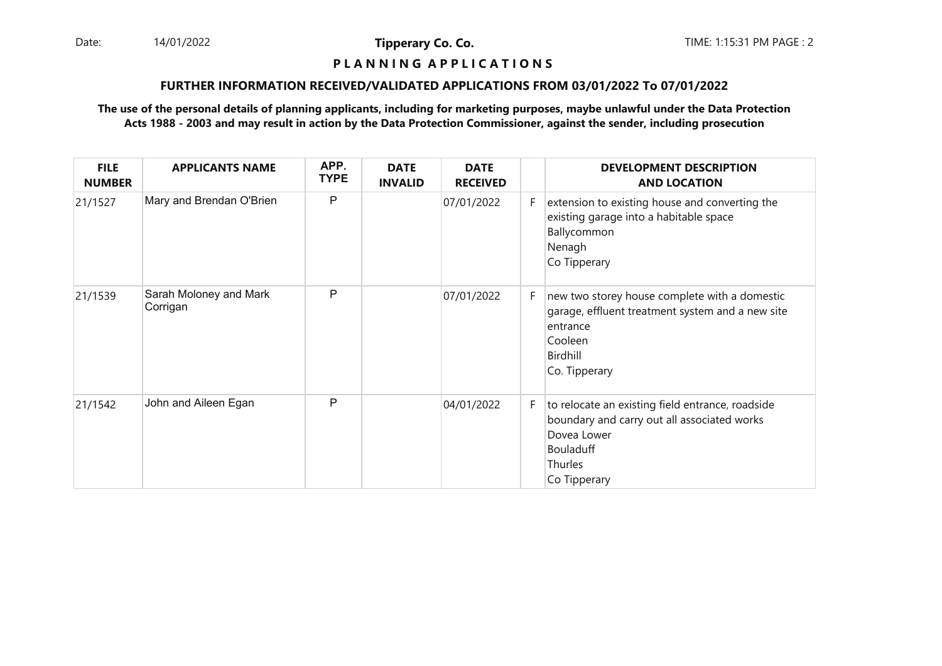Date: 14/01/2022 **Tipperary Co. Co. Co.** The TIME: 1:15:31 PM PAGE : 2 14/01/2022

**Tipperary Co. Co.**

## **P L A N N I N G A P P L I C A T I O N S**

#### **FURTHER INFORMATION RECEIVED/VALIDATED APPLICATIONS FROM 03/01/2022 To 07/01/2022**

| <b>FILE</b><br><b>NUMBER</b> | <b>APPLICANTS NAME</b>             | APP.<br><b>TYPE</b> | <b>DATE</b><br><b>INVALID</b> | <b>DATE</b><br><b>RECEIVED</b> |    | <b>DEVELOPMENT DESCRIPTION</b><br><b>AND LOCATION</b>                                                                                                         |
|------------------------------|------------------------------------|---------------------|-------------------------------|--------------------------------|----|---------------------------------------------------------------------------------------------------------------------------------------------------------------|
| 21/1527                      | Mary and Brendan O'Brien           | P                   |                               | 07/01/2022                     | F. | extension to existing house and converting the<br>existing garage into a habitable space<br>Ballycommon<br>Nenagh<br>Co Tipperary                             |
| 21/1539                      | Sarah Moloney and Mark<br>Corrigan | P                   |                               | 07/01/2022                     | F. | new two storey house complete with a domestic<br>garage, effluent treatment system and a new site<br>entrance<br>Cooleen<br>Birdhill<br>Co. Tipperary         |
| 21/1542                      | John and Aileen Egan               | P                   |                               | 04/01/2022                     | F. | to relocate an existing field entrance, roadside<br>boundary and carry out all associated works<br>Dovea Lower<br>Bouladuff<br><b>Thurles</b><br>Co Tipperary |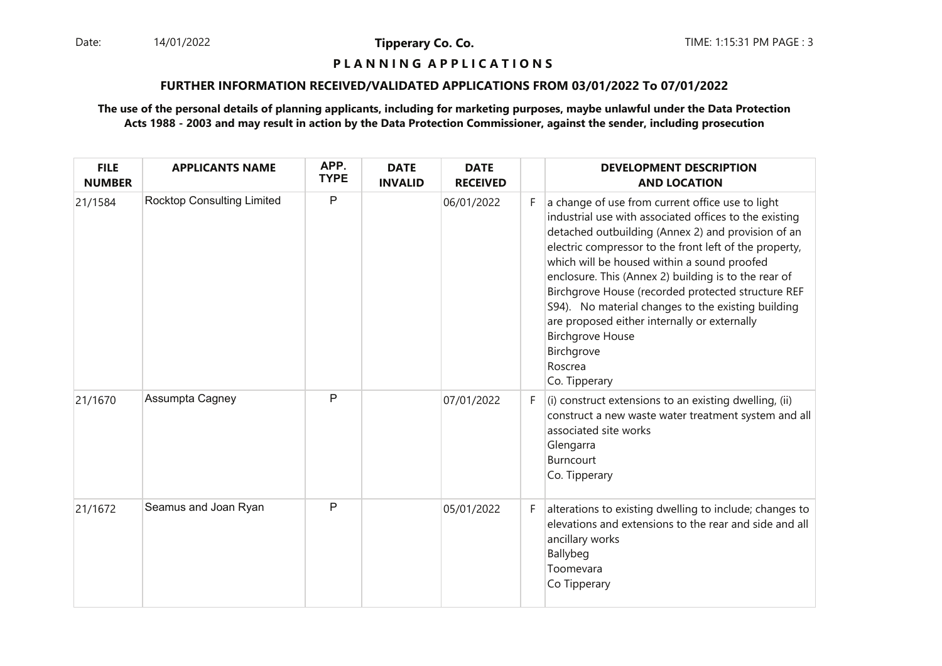Date: 14/01/2022 **Tipperary Co. Co. Co.** The TIME: 1:15:31 PM PAGE : 3 14/01/2022

**Tipperary Co. Co.**

#### **P L A N N I N G A P P L I C A T I O N S**

#### **FURTHER INFORMATION RECEIVED/VALIDATED APPLICATIONS FROM 03/01/2022 To 07/01/2022**

| <b>FILE</b><br><b>NUMBER</b> | <b>APPLICANTS NAME</b>            | APP.<br><b>TYPE</b> | <b>DATE</b><br><b>INVALID</b> | <b>DATE</b><br><b>RECEIVED</b> |    | <b>DEVELOPMENT DESCRIPTION</b><br><b>AND LOCATION</b>                                                                                                                                                                                                                                                                                                                                                                                                                                                                                                              |
|------------------------------|-----------------------------------|---------------------|-------------------------------|--------------------------------|----|--------------------------------------------------------------------------------------------------------------------------------------------------------------------------------------------------------------------------------------------------------------------------------------------------------------------------------------------------------------------------------------------------------------------------------------------------------------------------------------------------------------------------------------------------------------------|
| 21/1584                      | <b>Rocktop Consulting Limited</b> | P                   |                               | 06/01/2022                     | F. | a change of use from current office use to light<br>industrial use with associated offices to the existing<br>detached outbuilding (Annex 2) and provision of an<br>electric compressor to the front left of the property,<br>which will be housed within a sound proofed<br>enclosure. This (Annex 2) building is to the rear of<br>Birchgrove House (recorded protected structure REF<br>S94). No material changes to the existing building<br>are proposed either internally or externally<br><b>Birchgrove House</b><br>Birchgrove<br>Roscrea<br>Co. Tipperary |
| 21/1670                      | Assumpta Cagney                   | P                   |                               | 07/01/2022                     | F. | $(i)$ construct extensions to an existing dwelling, (ii)<br>construct a new waste water treatment system and all<br>associated site works<br>Glengarra<br>Burncourt<br>Co. Tipperary                                                                                                                                                                                                                                                                                                                                                                               |
| 21/1672                      | Seamus and Joan Ryan              | $\mathsf{P}$        |                               | 05/01/2022                     | F. | alterations to existing dwelling to include; changes to<br>elevations and extensions to the rear and side and all<br>ancillary works<br>Ballybeg<br>Toomevara<br>Co Tipperary                                                                                                                                                                                                                                                                                                                                                                                      |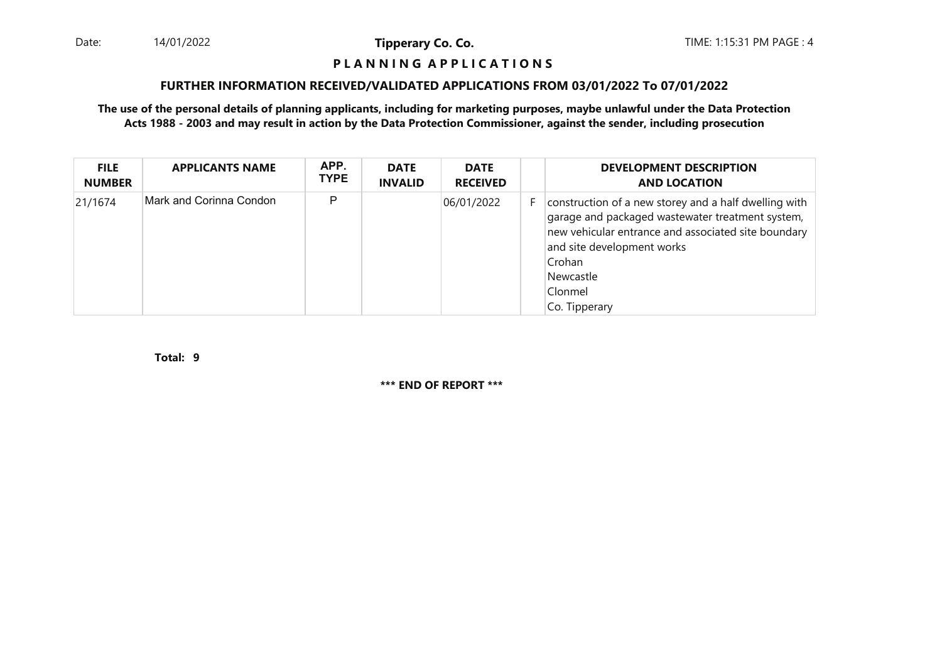Date: 14/01/2022 **Tipperary Co. Co. Co.** The TIME: 1:15:31 PM PAGE : 4 14/01/2022

**Tipperary Co. Co.**

## **P L A N N I N G A P P L I C A T I O N S**

## **FURTHER INFORMATION RECEIVED/VALIDATED APPLICATIONS FROM 03/01/2022 To 07/01/2022**

**The use of the personal details of planning applicants, including for marketing purposes, maybe unlawful under the Data ProtectionActs 1988 - 2003 and may result in action by the Data Protection Commissioner, against the sender, including prosecution**

| <b>FILE</b><br><b>NUMBER</b> | <b>APPLICANTS NAME</b>  | APP.<br><b>TYPE</b> | <b>DATE</b><br><b>INVALID</b> | <b>DATE</b><br><b>RECEIVED</b> |    | <b>DEVELOPMENT DESCRIPTION</b><br><b>AND LOCATION</b>                                                                                                                                                                                             |
|------------------------------|-------------------------|---------------------|-------------------------------|--------------------------------|----|---------------------------------------------------------------------------------------------------------------------------------------------------------------------------------------------------------------------------------------------------|
| 21/1674                      | Mark and Corinna Condon | P                   |                               | 06/01/2022                     | F. | construction of a new storey and a half dwelling with<br>garage and packaged wastewater treatment system,<br>new vehicular entrance and associated site boundary<br>and site development works<br>Crohan<br>Newcastle<br>Clonmel<br>Co. Tipperary |

**9Total:**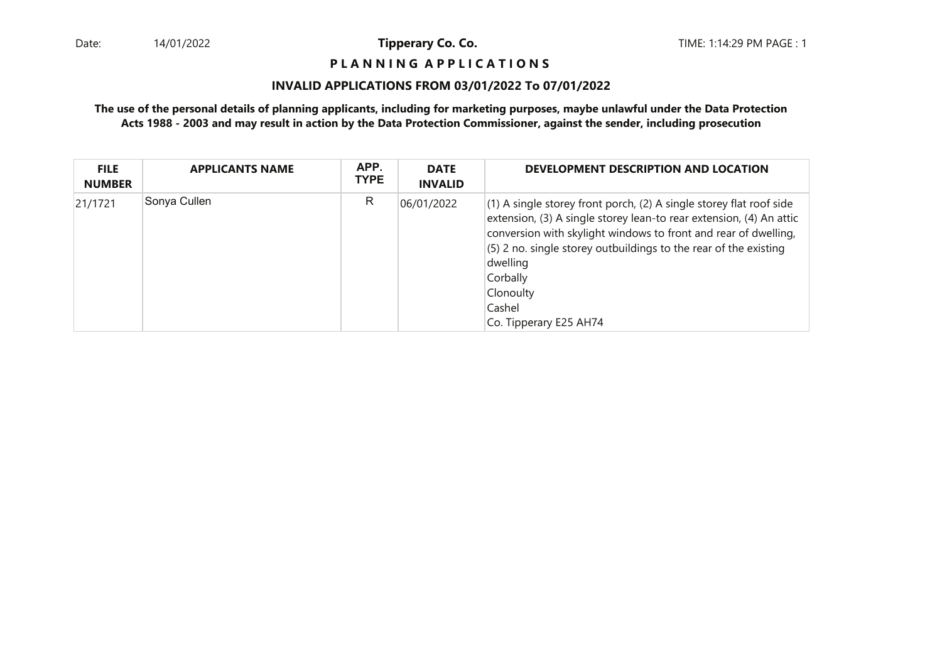## **P L A N N I N G A P P L I C A T I O N S**

## **INVALID APPLICATIONS FROM 03/01/2022 To 07/01/2022**

| <b>FILE</b><br><b>NUMBER</b> | <b>APPLICANTS NAME</b> | APP.<br><b>TYPE</b> | <b>DATE</b><br><b>INVALID</b> | DEVELOPMENT DESCRIPTION AND LOCATION                                                                                                                                                                                                                                                                                                                       |
|------------------------------|------------------------|---------------------|-------------------------------|------------------------------------------------------------------------------------------------------------------------------------------------------------------------------------------------------------------------------------------------------------------------------------------------------------------------------------------------------------|
| 21/1721                      | Sonya Cullen           | R                   | 06/01/2022                    | (1) A single storey front porch, (2) A single storey flat roof side<br>extension, (3) A single storey lean-to rear extension, (4) An attic<br>conversion with skylight windows to front and rear of dwelling,<br>(5) 2 no. single storey outbuildings to the rear of the existing<br>dwelling<br>Corbally<br>Clonoulty<br>Cashel<br>Co. Tipperary E25 AH74 |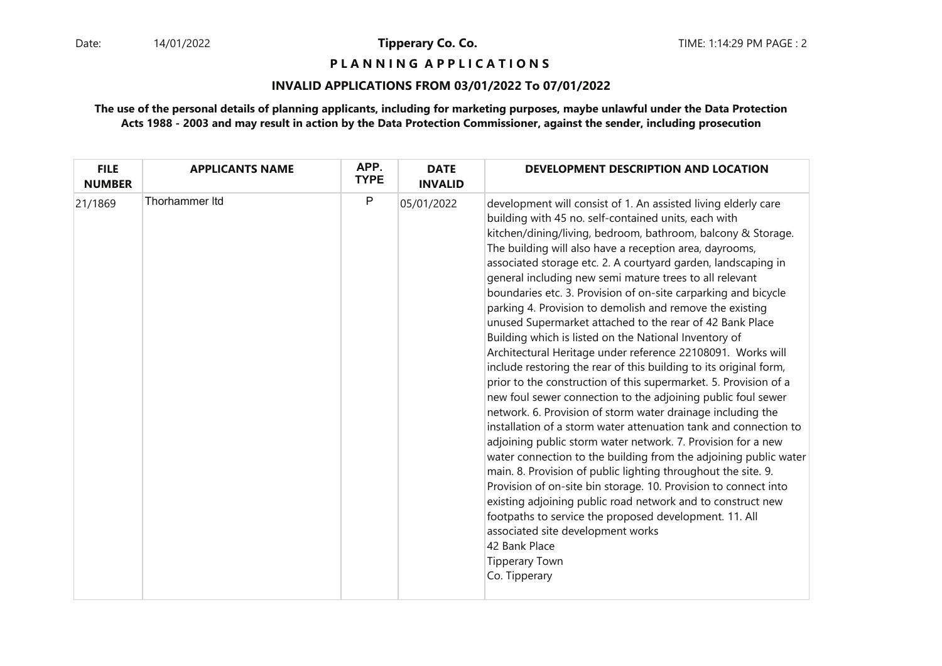**P L A N N I N G A P P L I C A T I O N S** 

## **INVALID APPLICATIONS FROM 03/01/2022 To 07/01/2022**

| <b>FILE</b><br><b>NUMBER</b> | <b>APPLICANTS NAME</b> | APP.<br><b>TYPE</b> | <b>DATE</b><br><b>INVALID</b> | DEVELOPMENT DESCRIPTION AND LOCATION                                                                                                                                                                                                                                                                                                                                                                                                                                                                                                                                                                                                                                                                                                                                                                                                                                                                                                                                                                                                                                                                                                                                                                                                                                                                                                                                                                                                                                                                                                         |
|------------------------------|------------------------|---------------------|-------------------------------|----------------------------------------------------------------------------------------------------------------------------------------------------------------------------------------------------------------------------------------------------------------------------------------------------------------------------------------------------------------------------------------------------------------------------------------------------------------------------------------------------------------------------------------------------------------------------------------------------------------------------------------------------------------------------------------------------------------------------------------------------------------------------------------------------------------------------------------------------------------------------------------------------------------------------------------------------------------------------------------------------------------------------------------------------------------------------------------------------------------------------------------------------------------------------------------------------------------------------------------------------------------------------------------------------------------------------------------------------------------------------------------------------------------------------------------------------------------------------------------------------------------------------------------------|
| 21/1869                      | <b>Thorhammer Itd</b>  | P                   | 05/01/2022                    | development will consist of 1. An assisted living elderly care<br>building with 45 no. self-contained units, each with<br>kitchen/dining/living, bedroom, bathroom, balcony & Storage.<br>The building will also have a reception area, dayrooms,<br>associated storage etc. 2. A courtyard garden, landscaping in<br>general including new semi mature trees to all relevant<br>boundaries etc. 3. Provision of on-site carparking and bicycle<br>parking 4. Provision to demolish and remove the existing<br>unused Supermarket attached to the rear of 42 Bank Place<br>Building which is listed on the National Inventory of<br>Architectural Heritage under reference 22108091. Works will<br>include restoring the rear of this building to its original form,<br>prior to the construction of this supermarket. 5. Provision of a<br>new foul sewer connection to the adjoining public foul sewer<br>network. 6. Provision of storm water drainage including the<br>installation of a storm water attenuation tank and connection to<br>adjoining public storm water network. 7. Provision for a new<br>water connection to the building from the adjoining public water<br>main. 8. Provision of public lighting throughout the site. 9.<br>Provision of on-site bin storage. 10. Provision to connect into<br>existing adjoining public road network and to construct new<br>footpaths to service the proposed development. 11. All<br>associated site development works<br>42 Bank Place<br><b>Tipperary Town</b><br>Co. Tipperary |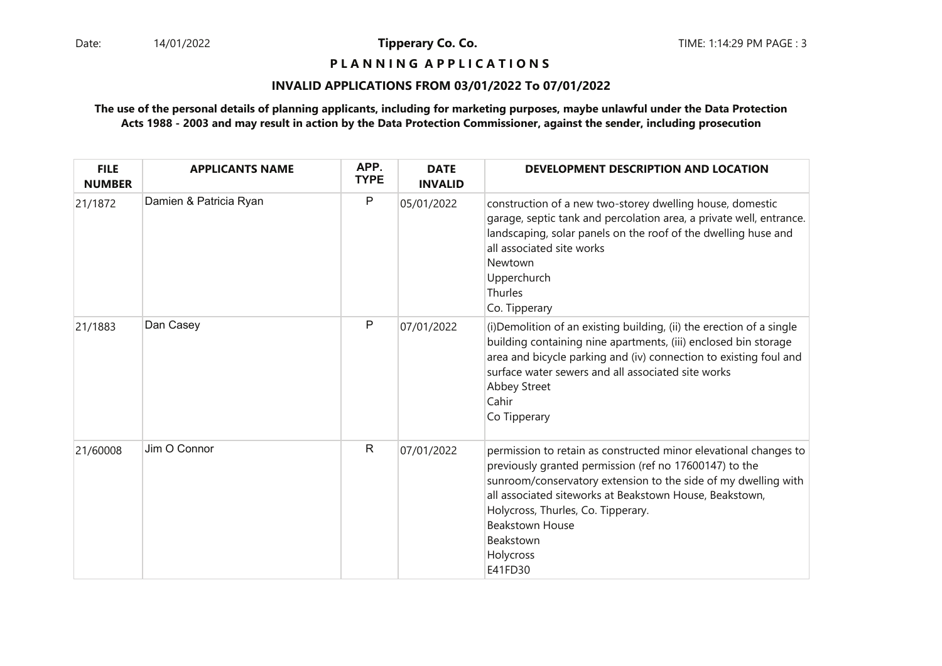**P L A N N I N G A P P L I C A T I O N S** 

## **INVALID APPLICATIONS FROM 03/01/2022 To 07/01/2022**

| <b>FILE</b><br><b>NUMBER</b> | <b>APPLICANTS NAME</b> | APP.<br><b>TYPE</b> | <b>DATE</b><br><b>INVALID</b> | DEVELOPMENT DESCRIPTION AND LOCATION                                                                                                                                                                                                                                                                                                                         |
|------------------------------|------------------------|---------------------|-------------------------------|--------------------------------------------------------------------------------------------------------------------------------------------------------------------------------------------------------------------------------------------------------------------------------------------------------------------------------------------------------------|
| 21/1872                      | Damien & Patricia Ryan | P                   | 05/01/2022                    | construction of a new two-storey dwelling house, domestic<br>garage, septic tank and percolation area, a private well, entrance.<br>landscaping, solar panels on the roof of the dwelling huse and<br>all associated site works<br>Newtown<br>Upperchurch<br>Thurles<br>Co. Tipperary                                                                        |
| 21/1883                      | Dan Casey              | P                   | 07/01/2022                    | (i) Demolition of an existing building, (ii) the erection of a single<br>building containing nine apartments, (iii) enclosed bin storage<br>area and bicycle parking and (iv) connection to existing foul and<br>surface water sewers and all associated site works<br><b>Abbey Street</b><br>Cahir<br>Co Tipperary                                          |
| 21/60008                     | Jim O Connor           | $\mathsf{R}$        | 07/01/2022                    | permission to retain as constructed minor elevational changes to<br>previously granted permission (ref no 17600147) to the<br>sunroom/conservatory extension to the side of my dwelling with<br>all associated siteworks at Beakstown House, Beakstown,<br>Holycross, Thurles, Co. Tipperary.<br><b>Beakstown House</b><br>Beakstown<br>Holycross<br>E41FD30 |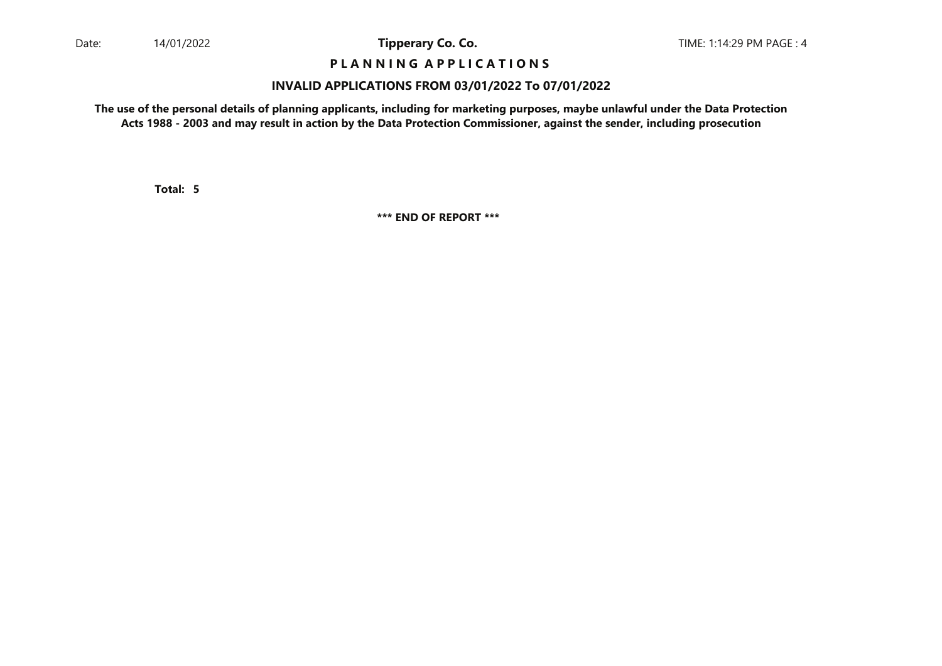## **P L A N N I N G A P P L I C A T I O N S**

#### **INVALID APPLICATIONS FROM 03/01/2022 To 07/01/2022**

**The use of the personal details of planning applicants, including for marketing purposes, maybe unlawful under the Data ProtectionActs 1988 - 2003 and may result in action by the Data Protection Commissioner, against the sender, including prosecution**

**5Total:**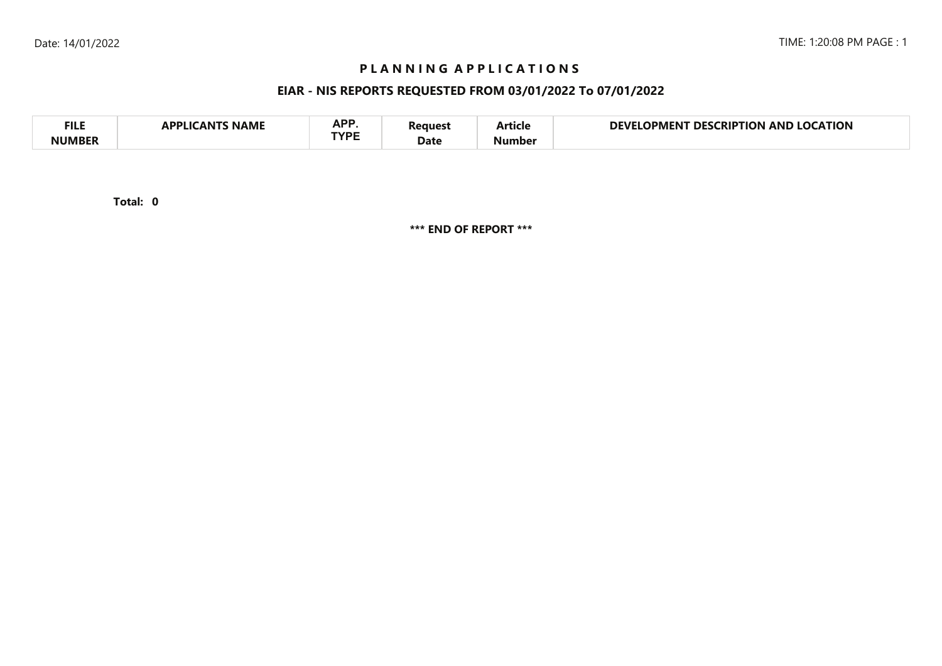## **P L A N N I N G A P P L I C A T I O N S**

## **EIAR - NIS REPORTS REQUESTED FROM 03/01/2022 To 07/01/2022**

| <b>FILE</b> | <b>NAME</b><br>A DDI IC<br>л NI | <b>ADD</b><br>NF I<br>TVDC | 'eaues'<br>Date | - -<br>Article | <b>LOCATION</b><br>DEVI<br><b>LOCKIPTION</b><br>DES<br>OPMENT<br>AND |  |
|-------------|---------------------------------|----------------------------|-----------------|----------------|----------------------------------------------------------------------|--|
| NIIMRFR     |                                 |                            |                 | Number         |                                                                      |  |

**0Total:**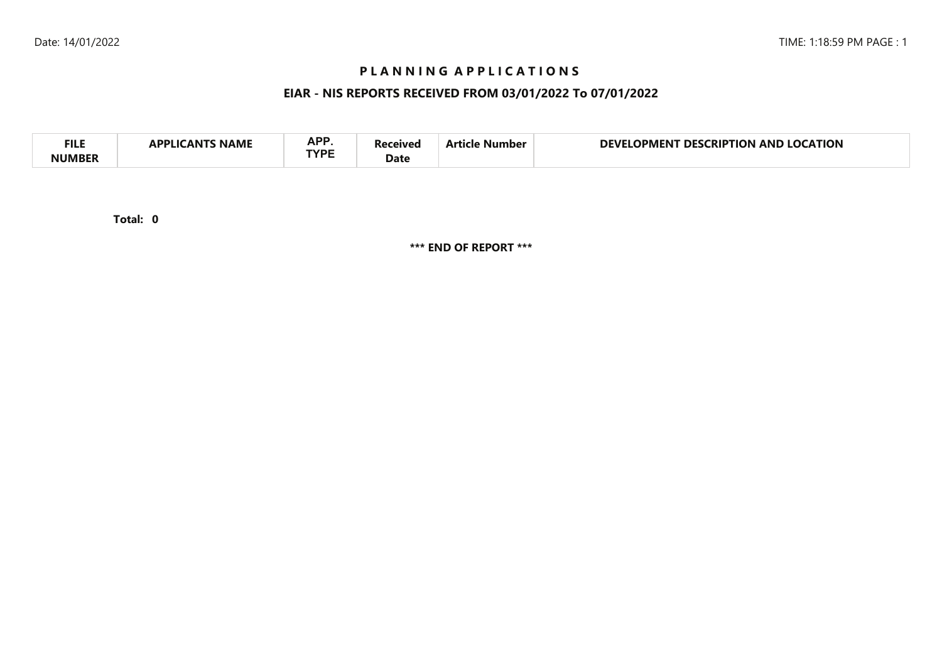## **P L A N N I N G A P P L I C A T I O N S**

## **EIAR - NIS REPORTS RECEIVED FROM 03/01/2022 To 07/01/2022**

| <b>APP</b><br><b>FILI</b><br><b>CATION</b><br>DEVI<br>AND<br>no<br>RIP.<br>ΓΙΩΝ<br>DES.<br>11701<br>Vumber<br>IPMEN I<br>NAML<br><b>TVDC</b><br>Date |  |
|------------------------------------------------------------------------------------------------------------------------------------------------------|--|
|------------------------------------------------------------------------------------------------------------------------------------------------------|--|

**0Total:**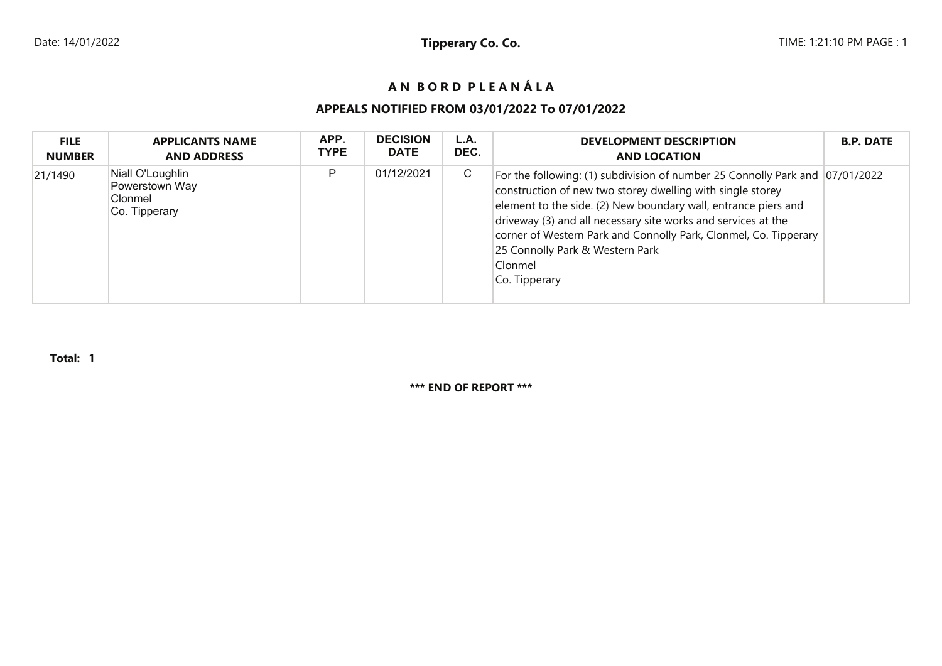# **A N B O R D P L E A N Á L A**

# **APPEALS NOTIFIED FROM 03/01/2022 To 07/01/2022**

| <b>FILE</b>   | <b>APPLICANTS NAME</b>                                                      | APP.        | <b>DECISION</b> | L.A. | <b>DEVELOPMENT DESCRIPTION</b>                                                                                                                                                                                                                                                                                                                                                                                   | <b>B.P. DATE</b> |
|---------------|-----------------------------------------------------------------------------|-------------|-----------------|------|------------------------------------------------------------------------------------------------------------------------------------------------------------------------------------------------------------------------------------------------------------------------------------------------------------------------------------------------------------------------------------------------------------------|------------------|
| <b>NUMBER</b> | <b>AND ADDRESS</b>                                                          | <b>TYPE</b> | <b>DATE</b>     | DEC. | <b>AND LOCATION</b>                                                                                                                                                                                                                                                                                                                                                                                              |                  |
| 21/1490       | Niall O'Loughlin<br>Powerstown Way<br>Clonmel<br><sub>∣</sub> Co. Tipperary | D           | 01/12/2021      | С    | For the following: (1) subdivision of number 25 Connolly Park and 07/01/2022<br>construction of new two storey dwelling with single storey<br>element to the side. (2) New boundary wall, entrance piers and<br>driveway (3) and all necessary site works and services at the<br>corner of Western Park and Connolly Park, Clonmel, Co. Tipperary<br>25 Connolly Park & Western Park<br>Clonmel<br>Co. Tipperary |                  |

**Total: 1**